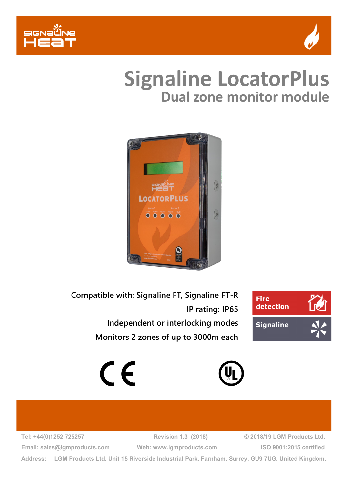



## **Dual zone monitor module Signaline LocatorPlus**



**Compatible with: Signaline FT, Signaline FT-R IP rating: IP65 Independent or interlocking modes Monitors 2 zones of up to 3000m each**







**Tel: +44(0)1252 725257 Revision 1.3 (2018) © 2018/19 LGM Products Ltd. Email: sales@lgmproducts.com Web: www.lgmproducts.com ISO 9001:2015 certified**

**Address: LGM Products Ltd, Unit 15 Riverside Industrial Park, Farnham, Surrey, GU9 7UG, United Kingdom.**